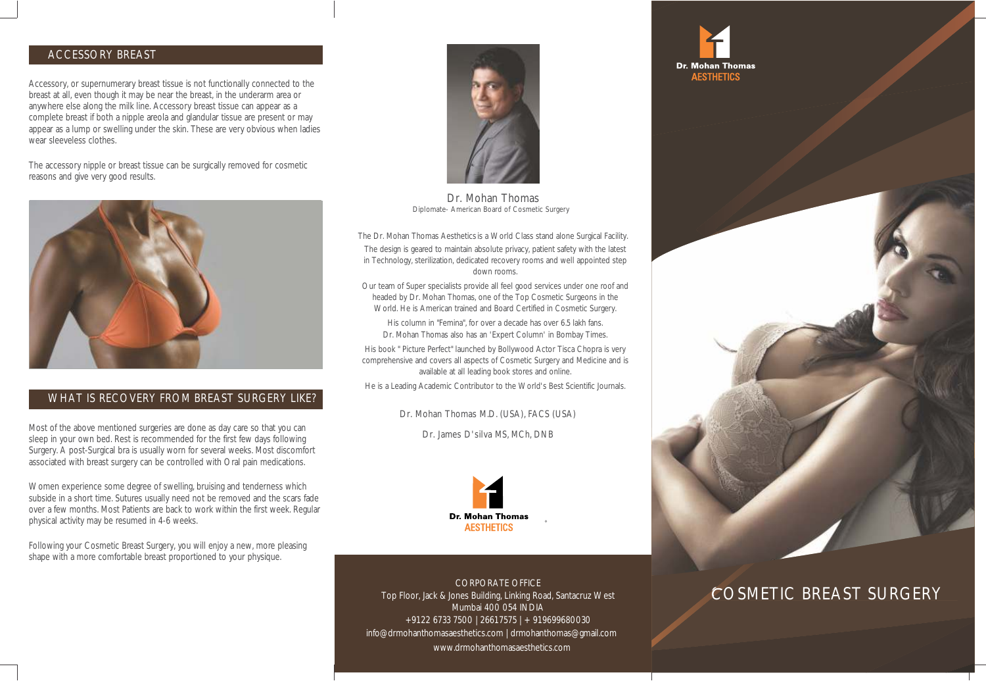## ACCESSORY BREAST

Accessory, or supernumerary breast tissue is not functionally connected to the breast at all, even though it may be near the breast, in the underarm area or anywhere else along the milk line. Accessory breast tissue can appear as a complete breast if both a nipple areola and glandular tissue are present or may appear as a lump or swelling under the skin. These are very obvious when ladies wear sleeveless clothes.

The accessory nipple or breast tissue can be surgically removed for cosmetic reasons and give very good results.



## WHAT IS RECOVERY FROM BREAST SURGERY LIKE?

wost or the above memoried surgenes are done as day care so that you can<br>sleep in your own bed. Rest is recommended for the first few days following Surgery. A post-Surgical bra is usually worn for several weeks. Most discomfort Most of the above mentioned surgeries are done as day care so that you can associated with breast surgery can be controlled with Oral pain medications.

Women experience some degree of swelling, bruising and tenderness which subside in a short time. Sutures usually need not be removed and the scars fade over a few months. Most Patients are back to work within the first week. Regular physical activity may be resumed in 4-6 weeks.

Following your Cosmetic Breast Surgery, you will enjoy a new, more pleasing shape with a more comfortable breast proportioned to your physique.



Dr. Mohan Thomas Diplomate- American Board of Cosmetic Surgery

 The Dr. Mohan Thomas Aesthetics is a World Class stand alone Surgical Facility. The design is geared to maintain absolute privacy, patient safety with the latest in Technology, sterilization, dedicated recovery rooms and well appointed step down rooms.

Our team of Super specialists provide all feel good services under one roof and headed by Dr. Mohan Thomas, one of the Top Cosmetic Surgeons in the World. He is American trained and Board Certified in Cosmetic Surgery.

His column in "Femina", for over a decade has over 6.5 lakh fans. Dr. Mohan Thomas also has an 'Expert Column' in Bombay Times.

His book " Picture Perfect" launched by Bollywood Actor Tisca Chopra is very comprehensive and covers all aspects of Cosmetic Surgery and Medicine and is available at all leading book stores and online.

He is a Leading Academic Contributor to the World's Best Scientific Journals.

Dr. Mohan Thomas M.D. (USA), FACS (USA)

Dr. James D'silva MS, MCh, DNB



CORPORATE OFFICE Top Floor, Jack & Jones Building, Linking Road, Santacruz West Mumbai 400 054 INDIA +91 22 6733 7500 | 2661 7575 | + 91 9699680030 info@drmohanthomasaesthetics.com | drmohanthomas@gmail.com www.drmohanthomasaesthetics.com





## COSMETIC BREAST SURGERY